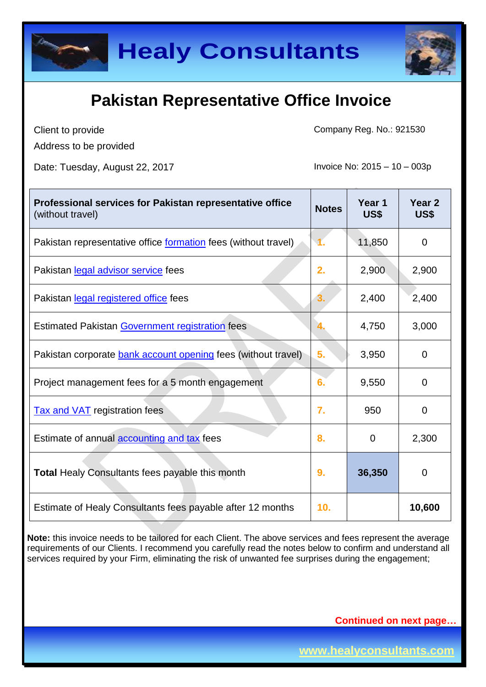



Client to provide Address to be provided Company Reg. No.: 921530

Date: Tuesday, August 22, 2017 **Invoice No: 2015** – 10 – 003p

| Professional services for Pakistan representative office<br>(without travel) | <b>Notes</b> | Year 1<br>US\$ | Year <sub>2</sub><br>US\$ |
|------------------------------------------------------------------------------|--------------|----------------|---------------------------|
| Pakistan representative office <u>formation</u> fees (without travel)        |              | 11,850         | 0                         |
| Pakistan legal advisor service fees                                          | 2.           | 2,900          | 2,900                     |
| Pakistan legal registered office fees                                        | З.           | 2,400          | 2,400                     |
| <b>Estimated Pakistan Government registration fees</b>                       |              | 4,750          | 3,000                     |
| Pakistan corporate <b>bank account opening</b> fees (without travel)         | 5.           | 3,950          | $\Omega$                  |
| Project management fees for a 5 month engagement                             | 6.           | 9,550          | $\Omega$                  |
| <b>Tax and VAT</b> registration fees                                         | 7.           | 950            | $\overline{0}$            |
| Estimate of annual accounting and tax fees                                   | 8.           | $\mathbf 0$    | 2,300                     |
| <b>Total Healy Consultants fees payable this month</b>                       | 9.           | 36,350         | $\mathbf 0$               |
| Estimate of Healy Consultants fees payable after 12 months                   | 10.          |                | 10,600                    |

**Note:** this invoice needs to be tailored for each Client. The above services and fees represent the average requirements of our Clients. I recommend you carefully read the notes below to confirm and understand all services required by your Firm, eliminating the risk of unwanted fee surprises during the engagement;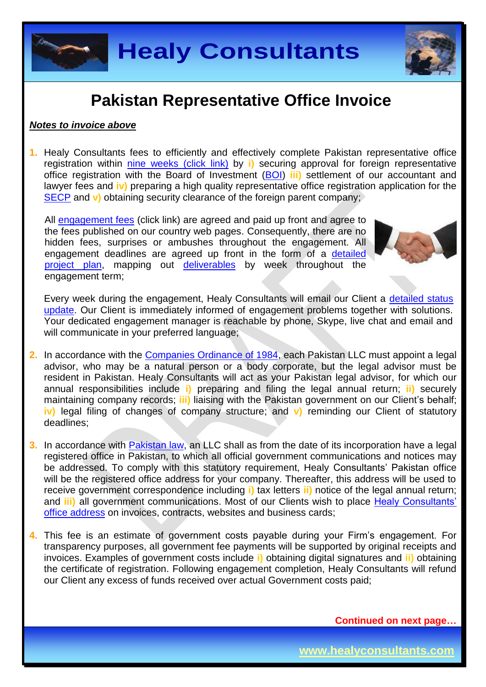



#### *Notes to invoice above*

**1.** Healy Consultants fees to efficiently and effectively complete Pakistan representative office registration within [nine weeks](http://www.healyconsultants.com/pakistan-company-registration/fees-timelines/#timelines) (click link) by **i)** securing approval for foreign representative office registration with the Board of Investment [\(BOI\)](http://boi.gov.pk/) **iii)** settlement of our accountant and lawyer fees and **iv)** preparing a high quality representative office registration application for the [SECP](http://www.secp.gov.pk/) and **v**) obtaining security clearance of the foreign parent company;

All [engagement fees](http://www.healyconsultants.com/company-registration-fees/) (click link) are agreed and paid up front and agree to the fees published on our country web pages. Consequently, there are no hidden fees, surprises or ambushes throughout the engagement. All engagement deadlines are agreed up front in the form of a [detailed](http://www.healyconsultants.com/index-important-links/example-project-plan/)  [project plan,](http://www.healyconsultants.com/index-important-links/example-project-plan/) mapping out [deliverables](http://www.healyconsultants.com/deliverables-to-our-clients/) by week throughout the engagement term;



Every week during the engagement, Healy Consultants will email our Client a [detailed status](http://www.healyconsultants.com/index-important-links/weekly-engagement-status-email/)  [update.](http://www.healyconsultants.com/index-important-links/weekly-engagement-status-email/) Our Client is immediately informed of engagement problems together with solutions. Your dedicated engagement manager is reachable by phone, Skype, live chat and email and will communicate in your preferred language;

- **2.** In accordance with the [Companies Ordinance of 1984,](http://www.bu.edu/bucflp/files/2012/01/Companies-Ordinance-of-1984.pdf) each Pakistan LLC must appoint a legal advisor, who may be a natural person or a body corporate, but the legal advisor must be resident in Pakistan. Healy Consultants will act as your Pakistan legal advisor, for which our annual responsibilities include **i)** preparing and filing the legal annual return; **ii)** securely maintaining company records; **iii)** liaising with the Pakistan government on our Client's behalf; **iv)** legal filing of changes of company structure; and **v)** reminding our Client of statutory deadlines;
- **3.** In accordance with **Pakistan law**, an LLC shall as from the date of its incorporation have a legal registered office in Pakistan, to which all official government communications and notices may be addressed. To comply with this statutory requirement, Healy Consultants' Pakistan office will be the registered office address for your company. Thereafter, this address will be used to receive government correspondence including **i)** tax letters **ii)** notice of the legal annual return; and **iii)** all government communications. Most of our Clients wish to place Healy Consultants' [office address](http://www.healyconsultants.com/corporate-outsourcing-services/company-secretary-and-legal-registered-office/) on invoices, contracts, websites and business cards;
- **4.** This fee is an estimate of government costs payable during your Firm's engagement. For transparency purposes, all government fee payments will be supported by original receipts and invoices. Examples of government costs include **i)** obtaining digital signatures and **ii)** obtaining the certificate of registration. Following engagement completion, Healy Consultants will refund our Client any excess of funds received over actual Government costs paid;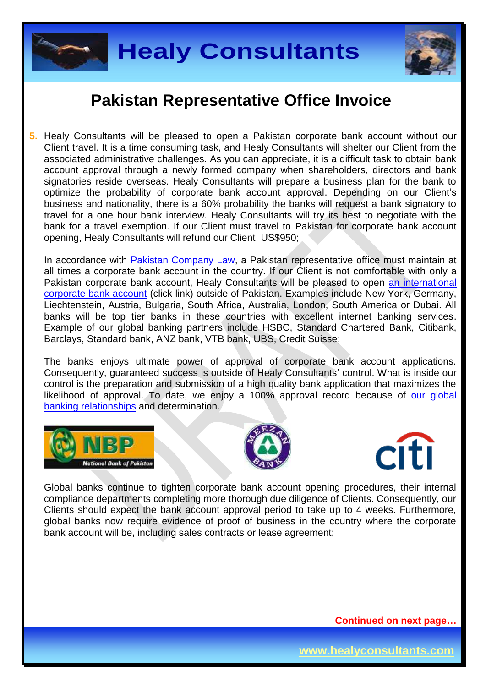



**5.** Healy Consultants will be pleased to open a Pakistan corporate bank account without our Client travel. It is a time consuming task, and Healy Consultants will shelter our Client from the associated administrative challenges. As you can appreciate, it is a difficult task to obtain bank account approval through a newly formed company when shareholders, directors and bank signatories reside overseas. Healy Consultants will prepare a business plan for the bank to optimize the probability of corporate bank account approval. Depending on our Client's business and nationality, there is a 60% probability the banks will request a bank signatory to travel for a one hour bank interview. Healy Consultants will try its best to negotiate with the bank for a travel exemption. If our Client must travel to Pakistan for corporate bank account opening, Healy Consultants will refund our Client US\$950;

In accordance with [Pakistan Company Law,](http://www.bu.edu/bucflp/files/2012/01/Companies-Ordinance-of-1984.pdf) a Pakistan representative office must maintain at all times a corporate bank account in the country. If our Client is not comfortable with only a Pakistan corporate bank account, Healy Consultants will be pleased to open [an international](http://www.healyconsultants.com/international-banking/)  [corporate bank account](http://www.healyconsultants.com/international-banking/) (click link) outside of Pakistan. Examples include New York, Germany, Liechtenstein, Austria, Bulgaria, South Africa, Australia, London, South America or Dubai. All banks will be top tier banks in these countries with excellent internet banking services. Example of our global banking partners include HSBC, Standard Chartered Bank, Citibank, Barclays, Standard bank, ANZ bank, VTB bank, UBS, Credit Suisse;

The banks enjoys ultimate power of approval of corporate bank account applications. Consequently, guaranteed success is outside of Healy Consultants' control. What is inside our control is the preparation and submission of a high quality bank application that maximizes the likelihood of approval. To date, we enjoy a 100% approval record because of our global [banking relationships](http://www.healyconsultants.com/international-banking/corporate-accounts/) and determination.







Global banks continue to tighten corporate bank account opening procedures, their internal compliance departments completing more thorough due diligence of Clients. Consequently, our Clients should expect the bank account approval period to take up to 4 weeks. Furthermore, global banks now require evidence of proof of business in the country where the corporate bank account will be, including sales contracts or lease agreement;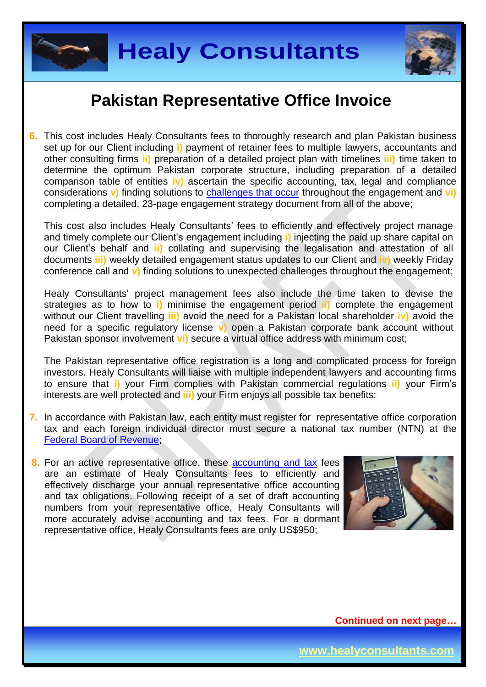



**6.** This cost includes Healy Consultants fees to thoroughly research and plan Pakistan business set up for our Client including **i)** payment of retainer fees to multiple lawyers, accountants and other consulting firms **ii)** preparation of a detailed project plan with timelines **iii)** time taken to determine the optimum Pakistan corporate structure, including preparation of a detailed comparison table of entities **iv)** ascertain the specific accounting, tax, legal and compliance considerations **v)** finding solutions to [challenges that occur](http://www.healyconsultants.com/engagement-project-management/) throughout the engagement and **vi)** completing a detailed, 23-page engagement strategy document from all of the above;

This cost also includes Healy Consultants' fees to efficiently and effectively project manage and timely complete our Client's engagement including **i)** injecting the paid up share capital on our Client's behalf and **ii)** collating and supervising the legalisation and attestation of all documents **iii)** weekly detailed engagement status updates to our Client and **iv)** weekly Friday conference call and **v)** finding solutions to unexpected challenges throughout the engagement;

Healy Consultants' project management fees also include the time taken to devise the strategies as to how to **i)** minimise the engagement period **ii)** complete the engagement without our Client travelling **iii)** avoid the need for a Pakistan local shareholder **iv)** avoid the need for a specific regulatory license **v)** open a Pakistan corporate bank account without Pakistan sponsor involvement **vi)** secure a virtual office address with minimum cost;

The Pakistan representative office registration is a long and complicated process for foreign investors. Healy Consultants will liaise with multiple independent lawyers and accounting firms to ensure that **i)** your Firm complies with Pakistan commercial regulations **ii)** your Firm's interests are well protected and **iii)** your Firm enjoys all possible tax benefits;

- **7.** In accordance with Pakistan law, each entity must register for representative office corporation tax and each foreign individual director must secure a national tax number (NTN) at the [Federal Board of Revenue;](http://www.fbr.gov.pk/)
- **8.** For an active representative office, these **accounting and tax** fees are an estimate of Healy Consultants fees to efficiently and effectively discharge your annual representative office accounting and tax obligations. Following receipt of a set of draft accounting numbers from your representative office, Healy Consultants will more accurately advise accounting and tax fees. For a dormant representative office, Healy Consultants fees are only US\$950;

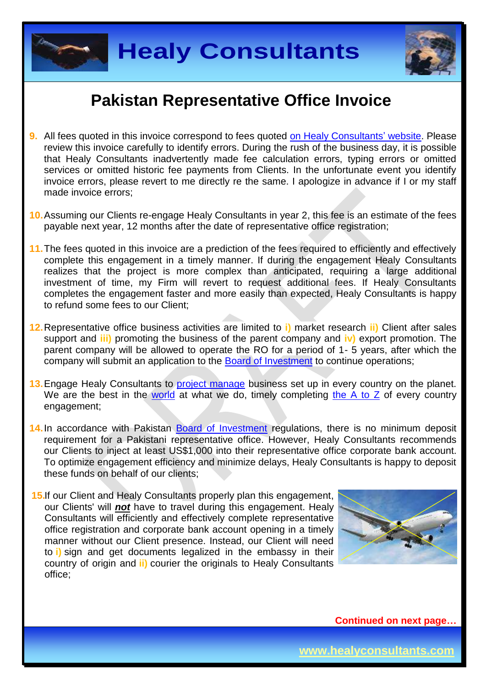



- **9.** All fees quoted in this invoice correspond to fees quoted [on Healy Consultants'](http://www.healyconsultants.com/company-registration-fees/) website. Please review this invoice carefully to identify errors. During the rush of the business day, it is possible that Healy Consultants inadvertently made fee calculation errors, typing errors or omitted services or omitted historic fee payments from Clients. In the unfortunate event you identify invoice errors, please revert to me directly re the same. I apologize in advance if I or my staff made invoice errors;
- **10.**Assuming our Clients re-engage Healy Consultants in year 2, this fee is an estimate of the fees payable next year, 12 months after the date of representative office registration;
- **11.**The fees quoted in this invoice are a prediction of the fees required to efficiently and effectively complete this engagement in a timely manner. If during the engagement Healy Consultants realizes that the project is more complex than anticipated, requiring a large additional investment of time, my Firm will revert to request additional fees. If Healy Consultants completes the engagement faster and more easily than expected, Healy Consultants is happy to refund some fees to our Client;
- **12.**Representative office business activities are limited to **i)** market research **ii)** Client after sales support and **iii)** promoting the business of the parent company and **iv)** export promotion. The parent company will be allowed to operate the RO for a period of 1- 5 years, after which the company will submit an application to the [Board of Investment](http://boi.gov.pk/Services/ServiceProcessWizard.aspx?sid=4) to continue operations;
- 13. Engage Healy Consultants to [project manage](http://www.healyconsultants.com/project-manage-engagements/) business set up in every country on the planet. We are the best in the [world](http://www.healyconsultants.com/best-in-the-world/) at what we do, timely completing [the A to Z](http://www.healyconsultants.com/a-to-z-of-business-set-up/) of every country engagement;
- 14. In accordance with Pakistan [Board of Investment](http://boi.gov.pk/Services/ServiceProcessWizard.aspx?sid=4) regulations, there is no minimum deposit requirement for a Pakistani representative office. However, Healy Consultants recommends our Clients to inject at least US\$1,000 into their representative office corporate bank account. To optimize engagement efficiency and minimize delays, Healy Consultants is happy to deposit these funds on behalf of our clients;
- **15.**If our Client and Healy Consultants properly plan this engagement, our Clients' will *not* have to travel during this engagement. Healy Consultants will efficiently and effectively complete representative office registration and corporate bank account opening in a timely manner without our Client presence. Instead, our Client will need to **i)** sign and get documents legalized in the embassy in their country of origin and **ii)** courier the originals to Healy Consultants office;

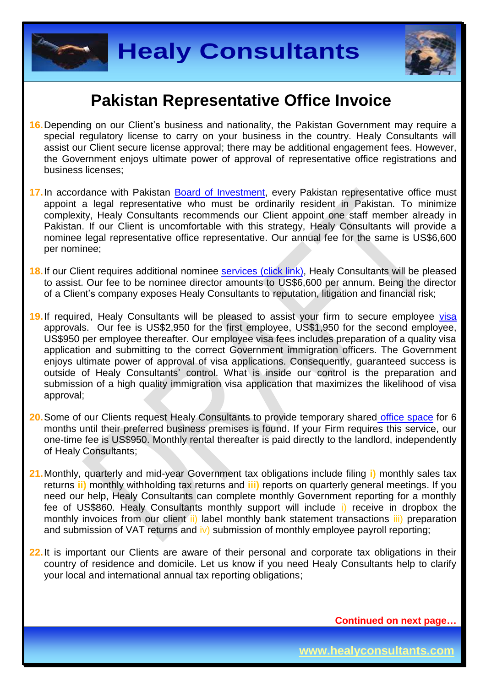



- **16.**Depending on our Client's business and nationality, the Pakistan Government may require a special regulatory license to carry on your business in the country. Healy Consultants will assist our Client secure license approval; there may be additional engagement fees. However, the Government enjoys ultimate power of approval of representative office registrations and business licenses;
- 17. In accordance with Pakistan [Board of Investment,](http://boi.gov.pk/Services/ServiceProcessWizard.aspx?sid=4) every Pakistan representative office must appoint a legal representative who must be ordinarily resident in Pakistan. To minimize complexity, Healy Consultants recommends our Client appoint one staff member already in Pakistan. If our Client is uncomfortable with this strategy, Healy Consultants will provide a nominee legal representative office representative. Our annual fee for the same is US\$6,600 per nominee;
- 18. If our Client requires additional nominee services [\(click link\),](http://www.healyconsultants.com/corporate-outsourcing-services/nominee-shareholders-directors/) Healy Consultants will be pleased to assist. Our fee to be nominee director amounts to US\$6,600 per annum. Being the director of a Client's company exposes Healy Consultants to reputation, litigation and financial risk;
- 19. If required, Healy Consultants will be pleased to assist your firm to secure employee [visa](http://www.healyconsultants.com/pakistan-company-registration/formation-support-services/) approvals. Our fee is US\$2,950 for the first employee, US\$1,950 for the second employee, US\$950 per employee thereafter. Our employee visa fees includes preparation of a quality visa application and submitting to the correct Government immigration officers. The Government enjoys ultimate power of approval of visa applications. Consequently, guaranteed success is outside of Healy Consultants' control. What is inside our control is the preparation and submission of a high quality immigration visa application that maximizes the likelihood of visa approval;
- **20.**Some of our Clients request Healy Consultants to provide temporary shared [office space](http://www.healyconsultants.com/virtual-office/) for 6 months until their preferred business premises is found. If your Firm requires this service, our one-time fee is US\$950. Monthly rental thereafter is paid directly to the landlord, independently of Healy Consultants;
- **21.**Monthly, quarterly and mid-year Government tax obligations include filing **i)** monthly sales tax returns **ii)** monthly withholding tax returns and **iii)** reports on quarterly general meetings. If you need our help, Healy Consultants can complete monthly Government reporting for a monthly fee of US\$860. Healy Consultants monthly support will include i) receive in dropbox the monthly invoices from our client ii) label monthly bank statement transactions iii) preparation and submission of VAT returns and iv) submission of monthly employee payroll reporting;
- **22.**It is important our Clients are aware of their personal and corporate tax obligations in their country of residence and domicile. Let us know if you need Healy Consultants help to clarify your local and international annual tax reporting obligations;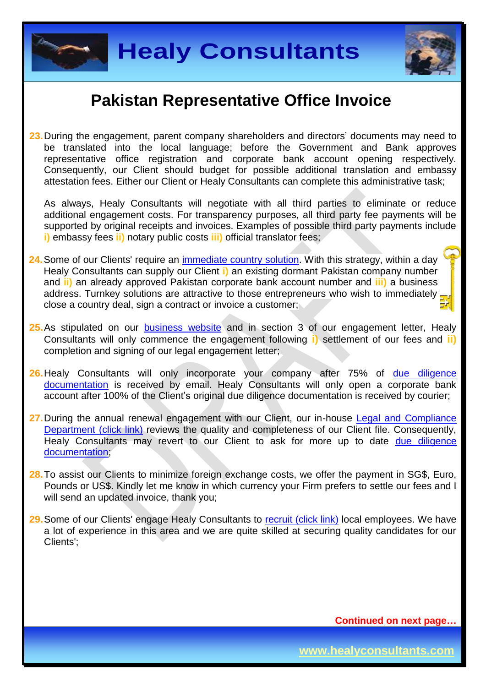



**23.**During the engagement, parent company shareholders and directors' documents may need to be translated into the local language; before the Government and Bank approves representative office registration and corporate bank account opening respectively. Consequently, our Client should budget for possible additional translation and embassy attestation fees. Either our Client or Healy Consultants can complete this administrative task;

As always, Healy Consultants will negotiate with all third parties to eliminate or reduce additional engagement costs. For transparency purposes, all third party fee payments will be supported by original receipts and invoices. Examples of possible third party payments include **i)** embassy fees **ii)** notary public costs **iii)** official translator fees;

- **24.**Some of our Clients' require an [immediate country](http://www.healyconsultants.com/turnkey-solutions/) solution. With this strategy, within a day Healy Consultants can supply our Client **i)** an existing dormant Pakistan company number and **ii)** an already approved Pakistan corporate bank account number and **iii)** a business address. Turnkey solutions are attractive to those entrepreneurs who wish to immediately. close a country deal, sign a contract or invoice a customer;
- 25. As stipulated on our **[business website](http://www.healyconsultants.com/)** and in section 3 of our engagement letter, Healy Consultants will only commence the engagement following **i)** settlement of our fees and **ii)** completion and signing of our legal engagement letter;
- 26. Healy Consultants will only incorporate your company after 75% of due diligence [documentation](http://www.healyconsultants.com/due-diligence/) is received by email. Healy Consultants will only open a corporate bank account after 100% of the Client's original due diligence documentation is received by courier;
- **27.**During the annual renewal engagement with our Client, our in-house [Legal and Compliance](http://www.healyconsultants.com/about-us/key-personnel/cai-xin-profile/)  [Department \(click link\)](http://www.healyconsultants.com/about-us/key-personnel/cai-xin-profile/) reviews the quality and completeness of our Client file. Consequently, Healy Consultants may revert to our Client to ask for more up to date due diligence [documentation;](http://www.healyconsultants.com/due-diligence/)
- **28.**To assist our Clients to minimize foreign exchange costs, we offer the payment in SG\$, Euro, Pounds or US\$. Kindly let me know in which currency your Firm prefers to settle our fees and I will send an updated invoice, thank you:
- **29.**Some of our Clients' engage Healy Consultants to [recruit \(click link\)](http://www.healyconsultants.com/corporate-outsourcing-services/how-we-help-our-clients-recruit-quality-employees/) local employees. We have a lot of experience in this area and we are quite skilled at securing quality candidates for our Clients';